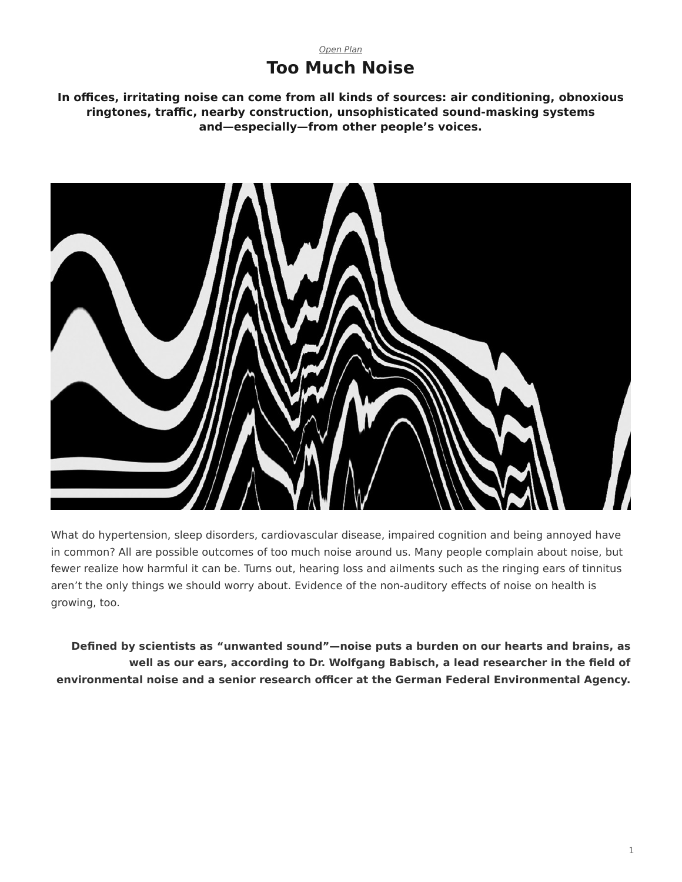## *[Open Plan](https://www.steelcase.com/asia-en/research/topics/open-plan-workplace/)* **Too Much Noise**

**In offices, irritating noise can come from all kinds of sources: air conditioning, obnoxious ringtones, traffic, nearby construction, unsophisticated sound-masking systems and—especially—from other people's voices.**



What do hypertension, sleep disorders, cardiovascular disease, impaired cognition and being annoyed have in common? All are possible outcomes of too much noise around us. Many people complain about noise, but fewer realize how harmful it can be. Turns out, hearing loss and ailments such as the ringing ears of tinnitus aren't the only things we should worry about. Evidence of the non-auditory effects of noise on health is growing, too.

**Defined by scientists as "unwanted sound"—noise puts a burden on our hearts and brains, as well as our ears, according to Dr. Wolfgang Babisch, a lead researcher in the field of environmental noise and a senior research officer at the German Federal Environmental Agency.**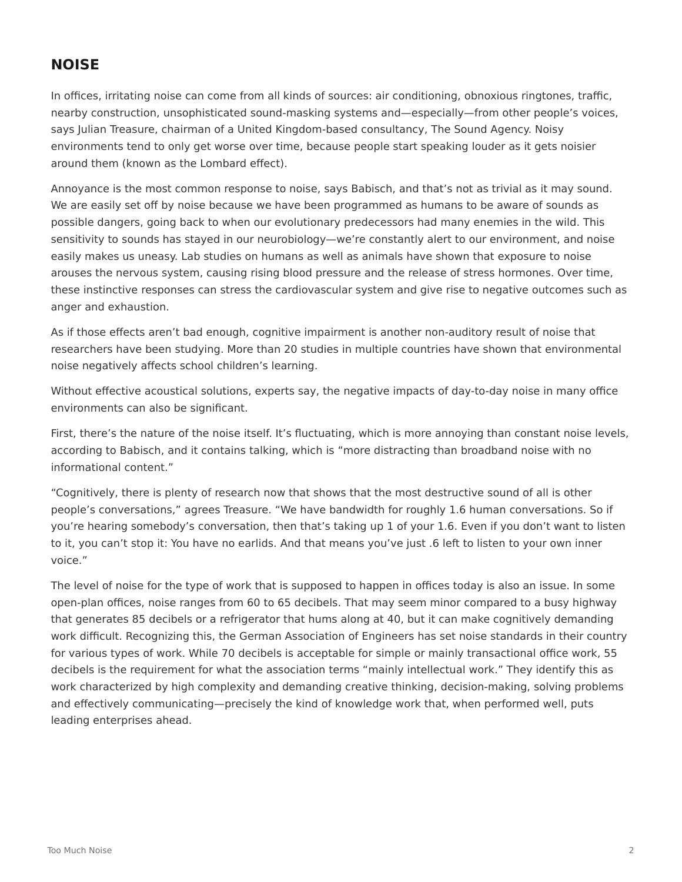# **NOISE**

In offices, irritating noise can come from all kinds of sources: air conditioning, obnoxious ringtones, traffic, nearby construction, unsophisticated sound-masking systems and—especially—from other people's voices, says Julian Treasure, chairman of a United Kingdom-based consultancy, The Sound Agency. Noisy environments tend to only get worse over time, because people start speaking louder as it gets noisier around them (known as the Lombard effect).

Annoyance is the most common response to noise, says Babisch, and that's not as trivial as it may sound. We are easily set off by noise because we have been programmed as humans to be aware of sounds as possible dangers, going back to when our evolutionary predecessors had many enemies in the wild. This sensitivity to sounds has stayed in our neurobiology—we're constantly alert to our environment, and noise easily makes us uneasy. Lab studies on humans as well as animals have shown that exposure to noise arouses the nervous system, causing rising blood pressure and the release of stress hormones. Over time, these instinctive responses can stress the cardiovascular system and give rise to negative outcomes such as anger and exhaustion.

As if those effects aren't bad enough, cognitive impairment is another non-auditory result of noise that researchers have been studying. More than 20 studies in multiple countries have shown that environmental noise negatively affects school children's learning.

Without effective acoustical solutions, experts say, the negative impacts of day-to-day noise in many office environments can also be significant.

First, there's the nature of the noise itself. It's fluctuating, which is more annoying than constant noise levels, according to Babisch, and it contains talking, which is "more distracting than broadband noise with no informational content."

"Cognitively, there is plenty of research now that shows that the most destructive sound of all is other people's conversations," agrees Treasure. "We have bandwidth for roughly 1.6 human conversations. So if you're hearing somebody's conversation, then that's taking up 1 of your 1.6. Even if you don't want to listen to it, you can't stop it: You have no earlids. And that means you've just .6 left to listen to your own inner voice."

The level of noise for the type of work that is supposed to happen in offices today is also an issue. In some open-plan offices, noise ranges from 60 to 65 decibels. That may seem minor compared to a busy highway that generates 85 decibels or a refrigerator that hums along at 40, but it can make cognitively demanding work difficult. Recognizing this, the German Association of Engineers has set noise standards in their country for various types of work. While 70 decibels is acceptable for simple or mainly transactional office work, 55 decibels is the requirement for what the association terms "mainly intellectual work." They identify this as work characterized by high complexity and demanding creative thinking, decision-making, solving problems and effectively communicating—precisely the kind of knowledge work that, when performed well, puts leading enterprises ahead.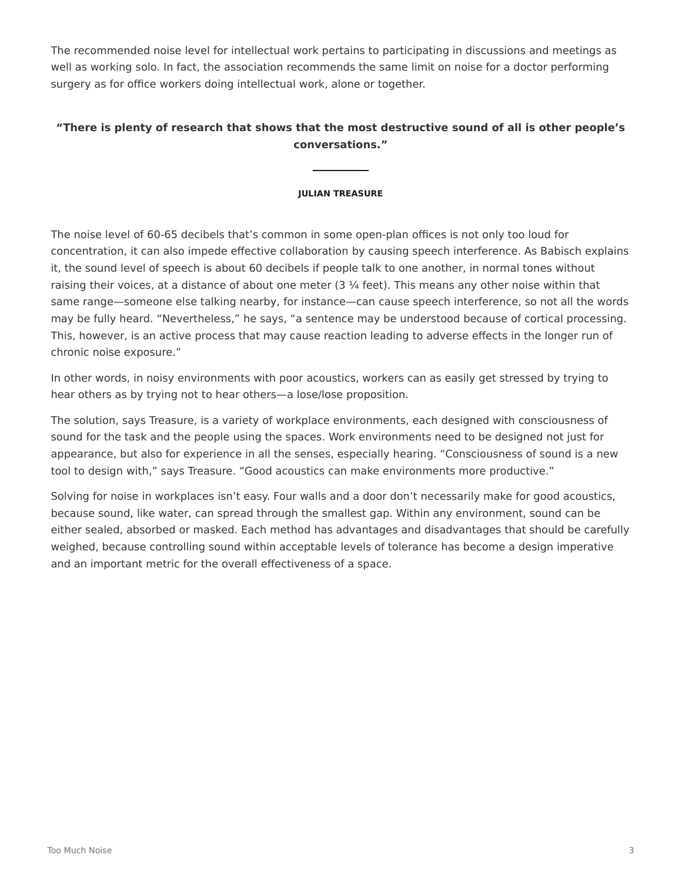The recommended noise level for intellectual work pertains to participating in discussions and meetings as well as working solo. In fact, the association recommends the same limit on noise for a doctor performing surgery as for office workers doing intellectual work, alone or together.

### **"There is plenty of research that shows that the most destructive sound of all is other people's conversations."**

#### **JULIAN TREASURE**

The noise level of 60-65 decibels that's common in some open-plan offices is not only too loud for concentration, it can also impede effective collaboration by causing speech interference. As Babisch explains it, the sound level of speech is about 60 decibels if people talk to one another, in normal tones without raising their voices, at a distance of about one meter (3 ¼ feet). This means any other noise within that same range—someone else talking nearby, for instance—can cause speech interference, so not all the words may be fully heard. "Nevertheless," he says, "a sentence may be understood because of cortical processing. This, however, is an active process that may cause reaction leading to adverse effects in the longer run of chronic noise exposure."

In other words, in noisy environments with poor acoustics, workers can as easily get stressed by trying to hear others as by trying not to hear others—a lose/lose proposition.

The solution, says Treasure, is a variety of workplace environments, each designed with consciousness of sound for the task and the people using the spaces. Work environments need to be designed not just for appearance, but also for experience in all the senses, especially hearing. "Consciousness of sound is a new tool to design with," says Treasure. "Good acoustics can make environments more productive."

Solving for noise in workplaces isn't easy. Four walls and a door don't necessarily make for good acoustics, because sound, like water, can spread through the smallest gap. Within any environment, sound can be either sealed, absorbed or masked. Each method has advantages and disadvantages that should be carefully weighed, because controlling sound within acceptable levels of tolerance has become a design imperative and an important metric for the overall effectiveness of a space.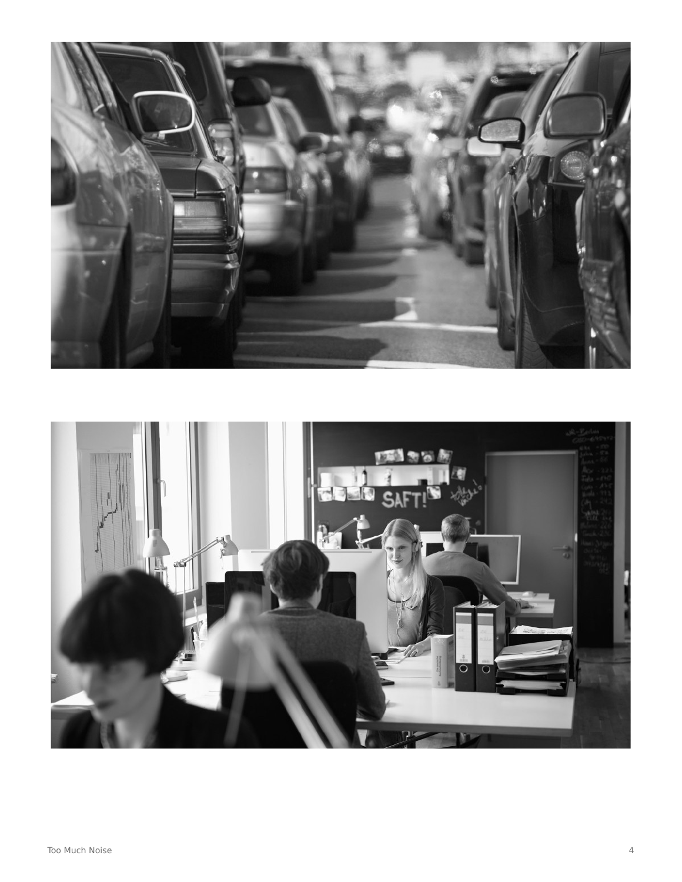

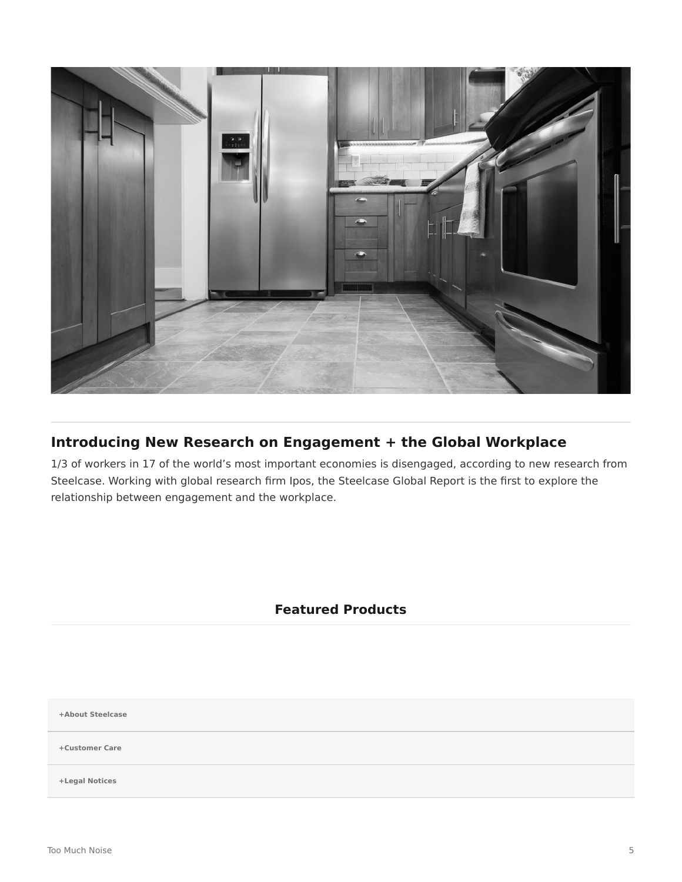

# **Introducing New Research on Engagement + the Global Workplace**

1/3 of workers in 17 of the world's most important economies is disengaged, according to new research from Steelcase. Working with global research firm Ipos, the Steelcase Global Report is the first to explore the relationship between engagement and the workplace.

### **Featured Products**

**[+About Steelcase](https://www.steelcase.com/asia-en/about/steelcase/our-company/)**

**+Customer Care**

**+Legal Notices**